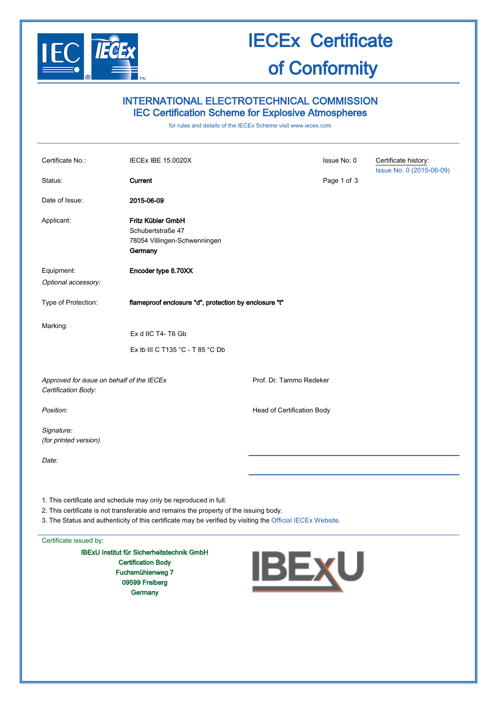

# IECEx Certificate

### of Conformity

### INTERNATIONAL ELECTROTECHNICAL COMMISSION IEC Certification Scheme for Explosive Atmospheres

for rules and details of the IECEx Scheme visit [www.iecex.com](http://www.iecex.com/)

| Certificate No.:                                                                                                                                                                                                                                                                                                                                                                                                                                     | <b>IECEx IBE 15.0020X</b>                                                         |                            | Issue No: 0 | Certificate history:<br>Issue No. 0 (2015-06-09) |  |
|------------------------------------------------------------------------------------------------------------------------------------------------------------------------------------------------------------------------------------------------------------------------------------------------------------------------------------------------------------------------------------------------------------------------------------------------------|-----------------------------------------------------------------------------------|----------------------------|-------------|--------------------------------------------------|--|
| Status:                                                                                                                                                                                                                                                                                                                                                                                                                                              | Current                                                                           |                            | Page 1 of 3 |                                                  |  |
| Date of Issue:                                                                                                                                                                                                                                                                                                                                                                                                                                       | 2015-06-09                                                                        |                            |             |                                                  |  |
| Applicant:                                                                                                                                                                                                                                                                                                                                                                                                                                           | Fritz Kübler GmbH<br>Schubertstraße 47<br>78054 Villingen-Schwenningen<br>Germany |                            |             |                                                  |  |
| Equipment:                                                                                                                                                                                                                                                                                                                                                                                                                                           | Encoder type 8.70XX                                                               |                            |             |                                                  |  |
| Optional accessory:                                                                                                                                                                                                                                                                                                                                                                                                                                  |                                                                                   |                            |             |                                                  |  |
| Type of Protection:                                                                                                                                                                                                                                                                                                                                                                                                                                  | flameproof enclosure "d", protection by enclosure "t"                             |                            |             |                                                  |  |
| Marking:                                                                                                                                                                                                                                                                                                                                                                                                                                             |                                                                                   |                            |             |                                                  |  |
|                                                                                                                                                                                                                                                                                                                                                                                                                                                      | Ex d IIC T4-T6 Gb                                                                 |                            |             |                                                  |  |
|                                                                                                                                                                                                                                                                                                                                                                                                                                                      | Ex tb III C T135 °C - T 85 °C Db                                                  |                            |             |                                                  |  |
| Approved for issue on behalf of the IECEx<br>Certification Body:                                                                                                                                                                                                                                                                                                                                                                                     |                                                                                   | Prof. Dr. Tammo Redeker    |             |                                                  |  |
| Position:                                                                                                                                                                                                                                                                                                                                                                                                                                            |                                                                                   | Head of Certification Body |             |                                                  |  |
| Signature:<br>(for printed version)                                                                                                                                                                                                                                                                                                                                                                                                                  |                                                                                   |                            |             |                                                  |  |
| Date:                                                                                                                                                                                                                                                                                                                                                                                                                                                |                                                                                   |                            |             |                                                  |  |
| 1. This certificate and schedule may only be reproduced in full.<br>2. This certificate is not transferable and remains the property of the issuing body.<br>3. The Status and authenticity of this certificate may be verified by visiting the Official IECEx Website.<br>Certificate issued by:<br><b>IBExU Institut für Sicherheitstechnik GmbH</b><br><b>IBEXU</b><br><b>Certification Body</b><br>Fuchsmühlenweg 7<br>09599 Freiberg<br>Germany |                                                                                   |                            |             |                                                  |  |
|                                                                                                                                                                                                                                                                                                                                                                                                                                                      |                                                                                   |                            |             |                                                  |  |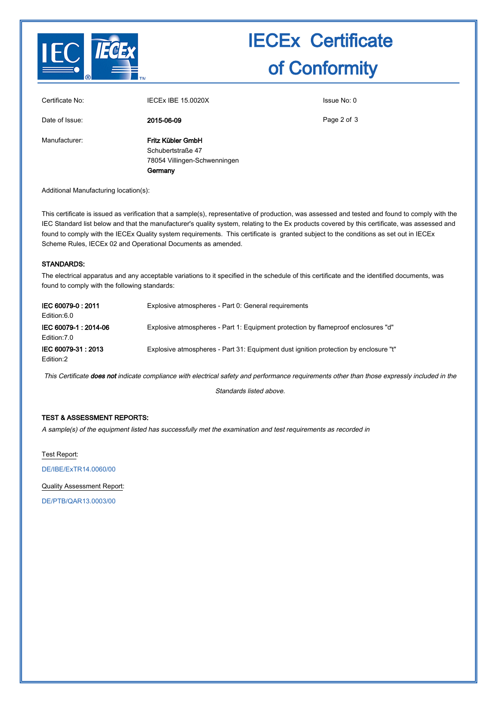

## IECEx Certificate of Conformity

| Certificate No: | <b>IECEX IBE 15.0020X</b>                                                         | Issue No: 0 |  |
|-----------------|-----------------------------------------------------------------------------------|-------------|--|
| Date of Issue:  | 2015-06-09                                                                        | Page 2 of 3 |  |
| Manufacturer:   | Fritz Kübler GmbH<br>Schubertstraße 47<br>78054 Villingen-Schwenningen<br>Germany |             |  |

Additional Manufacturing location(s):

This certificate is issued as verification that a sample(s), representative of production, was assessed and tested and found to comply with the IEC Standard list below and that the manufacturer's quality system, relating to the Ex products covered by this certificate, was assessed and found to comply with the IECEx Quality system requirements. This certificate is granted subject to the conditions as set out in IECEx Scheme Rules, IECEx 02 and Operational Documents as amended.

#### STANDARDS:

The electrical apparatus and any acceptable variations to it specified in the schedule of this certificate and the identified documents, was found to comply with the following standards:

| IEC 60079-0: 2011                    | Explosive atmospheres - Part 0: General requirements                                 |
|--------------------------------------|--------------------------------------------------------------------------------------|
| Edition:6.0                          |                                                                                      |
| IEC 60079-1: 2014-06<br>Edition: 7.0 | Explosive atmospheres - Part 1: Equipment protection by flameproof enclosures "d"    |
| IEC 60079-31 : 2013<br>Edition:2     | Explosive atmospheres - Part 31: Equipment dust ignition protection by enclosure "t" |

This Certificate does not indicate compliance with electrical safety and performance requirements other than those expressly included in the

Standards listed above.

#### TEST & ASSESSMENT REPORTS:

A sample(s) of the equipment listed has successfully met the examination and test requirements as recorded in

Test Report:

[DE/IBE/ExTR14.0060/00](http://iecex.iec.ch/iecex/IECExWeb.nsf/ExTRNumber/DE/IBE/ExTR14.0060/00?OpenDocument)

Quality Assessment Report:

[DE/PTB/QAR13.0003/00](http://iecex.iec.ch/iecex/IECExWeb.nsf/QARNumber/DE/PTB/QAR13.0003/00?OpenDocument)